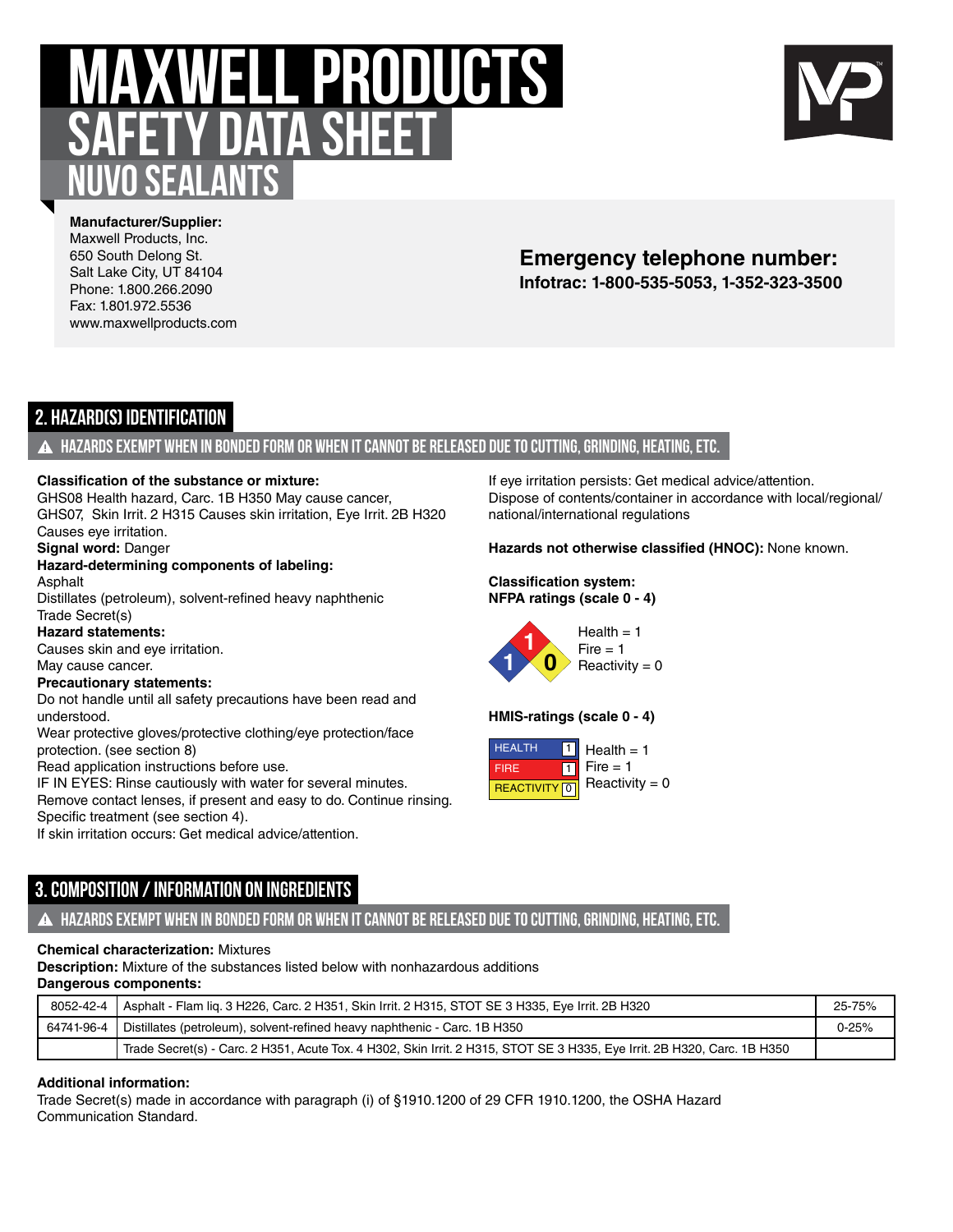# **MAXWELL PRODUCTS safety data sheet Nuvo Sealants**



**Manufacturer/Supplier:** Maxwell Products, Inc. 650 South Delong St. Salt Lake City, UT 84104 Phone: 1.800.266.2090 Fax: 1.801.972.5536 www.maxwellproducts.com

# **Infotrac: 1-800-535-5053, 1-352-323-3500 Emergency telephone number:**

# **2. Hazard(s) Identification**

## **Hazards exempt when in bonded form or when it cannot be released due to cutting, grinding, heating, etc.**

#### **Classification of the substance or mixture:**

GHS08 Health hazard, Carc. 1B H350 May cause cancer, GHS07, Skin Irrit. 2 H315 Causes skin irritation, Eye Irrit. 2B H320 Causes eye irritation.

**Signal word:** Danger

#### **Hazard-determining components of labeling:** Asphalt

Distillates (petroleum), solvent-refined heavy naphthenic

Trade Secret(s) **Hazard statements:**

Causes skin and eye irritation.

May cause cancer.

#### **Precautionary statements:**

Do not handle until all safety precautions have been read and understood.

Wear protective gloves/protective clothing/eye protection/face protection. (see section 8)

Read application instructions before use.

IF IN EYES: Rinse cautiously with water for several minutes.

Remove contact lenses, if present and easy to do. Continue rinsing. Specific treatment (see section 4).

If skin irritation occurs: Get medical advice/attention.

**3. Composition / Information on Ingredients**

## **Hazards exempt when in bonded form or when it cannot be released due to cutting, grinding, heating, etc.**

## **Chemical characterization:** Mixtures

**Description:** Mixture of the substances listed below with nonhazardous additions **Dangerous components:**

| 8052-42-4   Asphalt - Flam lig. 3 H226, Carc. 2 H351, Skin Irrit. 2 H315, STOT SE 3 H335, Eve Irrit. 2B H320               | 25-75%    |
|----------------------------------------------------------------------------------------------------------------------------|-----------|
| 64741-96-4   Distillates (petroleum), solvent-refined heavy naphthenic - Carc. 1B H350                                     | $0 - 25%$ |
| Trade Secret(s) - Carc. 2 H351, Acute Tox. 4 H302, Skin Irrit. 2 H315, STOT SE 3 H335, Eye Irrit. 2B H320, Carc. 1B H350 , |           |

## **Additional information:**

Trade Secret(s) made in accordance with paragraph (i) of §1910.1200 of 29 CFR 1910.1200, the OSHA Hazard Communication Standard.

If eye irritation persists: Get medical advice/attention. Dispose of contents/container in accordance with local/regional/ national/international regulations

**Hazards not otherwise classified (HNOC):** None known.

#### **Classification system: NFPA ratings (scale 0 - 4)**

 $Health = 1$  $Fire = 1$  $Reactivity = 0$ **1 1 0**

## **HMIS-ratings (scale 0 - 4)**

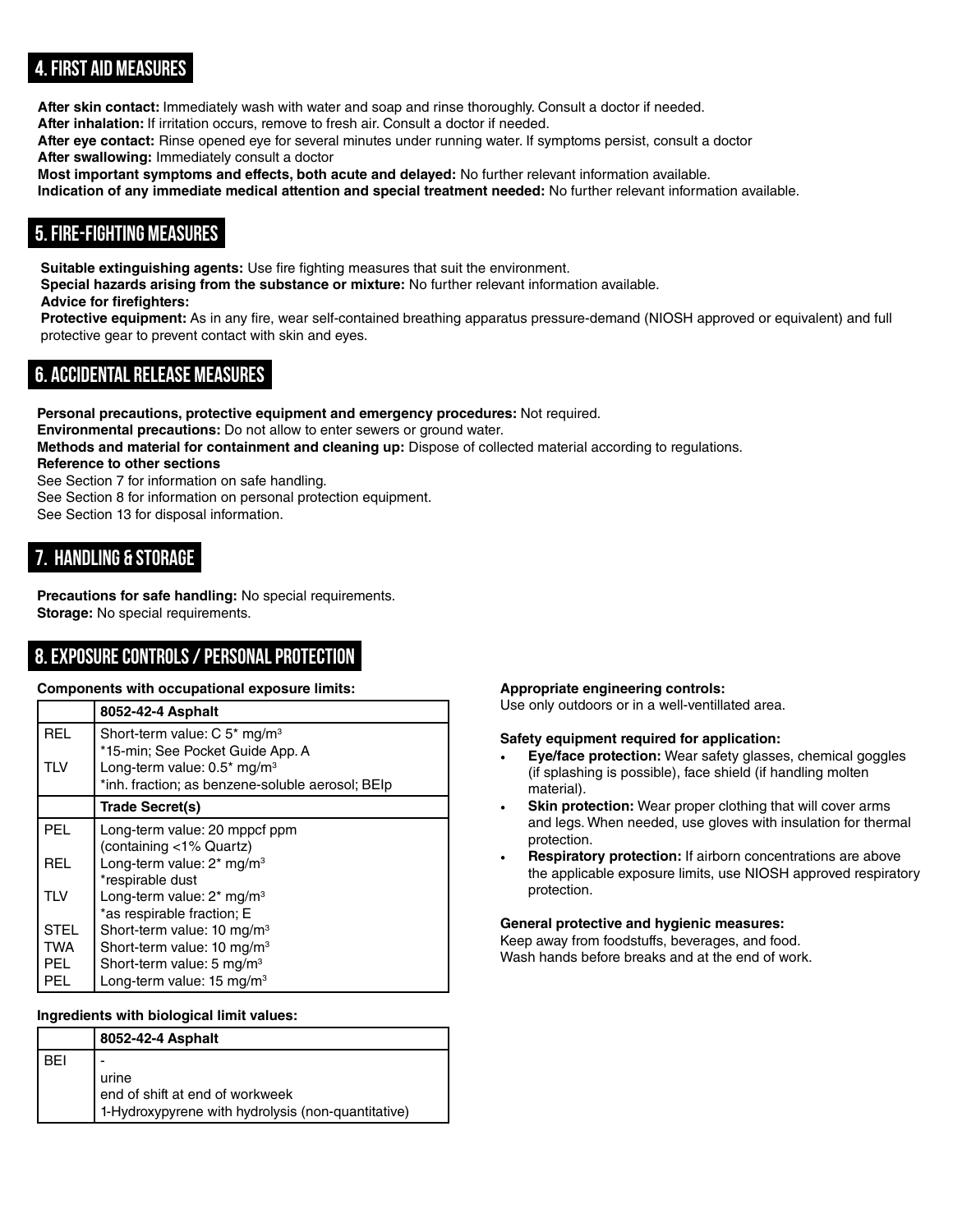# **4. First Aid Measures**

**After skin contact:** Immediately wash with water and soap and rinse thoroughly. Consult a doctor if needed. **After inhalation:** If irritation occurs, remove to fresh air. Consult a doctor if needed.

**After eye contact:** Rinse opened eye for several minutes under running water. If symptoms persist, consult a doctor

**After swallowing:** Immediately consult a doctor

**Most important symptoms and effects, both acute and delayed:** No further relevant information available. **Indication of any immediate medical attention and special treatment needed:** No further relevant information available.

# **5. Fire-fighting Measures**

**Suitable extinguishing agents:** Use fire fighting measures that suit the environment. **Special hazards arising from the substance or mixture:** No further relevant information available. **Advice for firefighters:**

**Protective equipment:** As in any fire, wear self-contained breathing apparatus pressure-demand (NIOSH approved or equivalent) and full protective gear to prevent contact with skin and eyes.

# **6. Accidental release measures**

**Personal precautions, protective equipment and emergency procedures:** Not required. **Environmental precautions:** Do not allow to enter sewers or ground water. **Methods and material for containment and cleaning up:** Dispose of collected material according to regulations. **Reference to other sections** See Section 7 for information on safe handling. See Section 8 for information on personal protection equipment.

See Section 13 for disposal information.

# **7. Handling & Storage**

**Precautions for safe handling:** No special requirements. **Storage:** No special requirements.

# **8. Exposure Controls / Personal Protection**

## **Components with occupational exposure limits:**

|             | 8052-42-4 Asphalt                                      |
|-------------|--------------------------------------------------------|
| <b>REL</b>  | Short-term value: $C$ 5 <sup>*</sup> mg/m <sup>3</sup> |
|             | *15-min; See Pocket Guide App. A                       |
| TLV         | Long-term value: 0.5* mg/m <sup>3</sup>                |
|             | *inh. fraction; as benzene-soluble aerosol; BEIp       |
|             | Trade Secret(s)                                        |
| <b>PEL</b>  | Long-term value: 20 mppcf ppm                          |
|             | (containing <1% Quartz)                                |
| REL         | Long-term value: $2^*$ mg/m <sup>3</sup>               |
|             | *respirable dust                                       |
| <b>TIV</b>  | Long-term value: $2^*$ mg/m <sup>3</sup>               |
|             | *as respirable fraction; E                             |
| <b>STEL</b> | Short-term value: 10 mg/m <sup>3</sup>                 |
| TWA         | Short-term value: 10 mg/m <sup>3</sup>                 |
| PEL.        | Short-term value: 5 mg/m <sup>3</sup>                  |
| PEL         | Long-term value: $15 \text{ mg/m}^3$                   |

## **Ingredients with biological limit values:**

|            | 8052-42-4 Asphalt                                  |
|------------|----------------------------------------------------|
| <b>BEI</b> |                                                    |
|            | urine                                              |
|            | end of shift at end of workweek                    |
|            | 1-Hydroxypyrene with hydrolysis (non-quantitative) |

## **Appropriate engineering controls:**

Use only outdoors or in a well-ventillated area.

#### **Safety equipment required for application:**

- **Eve/face protection:** Wear safety glasses, chemical goggles (if splashing is possible), face shield (if handling molten material).
- **Skin protection:** Wear proper clothing that will cover arms and legs. When needed, use gloves with insulation for thermal protection.
- **Respiratory protection:** If airborn concentrations are above the applicable exposure limits, use NIOSH approved respiratory protection.

## **General protective and hygienic measures:**

Keep away from foodstuffs, beverages, and food. Wash hands before breaks and at the end of work.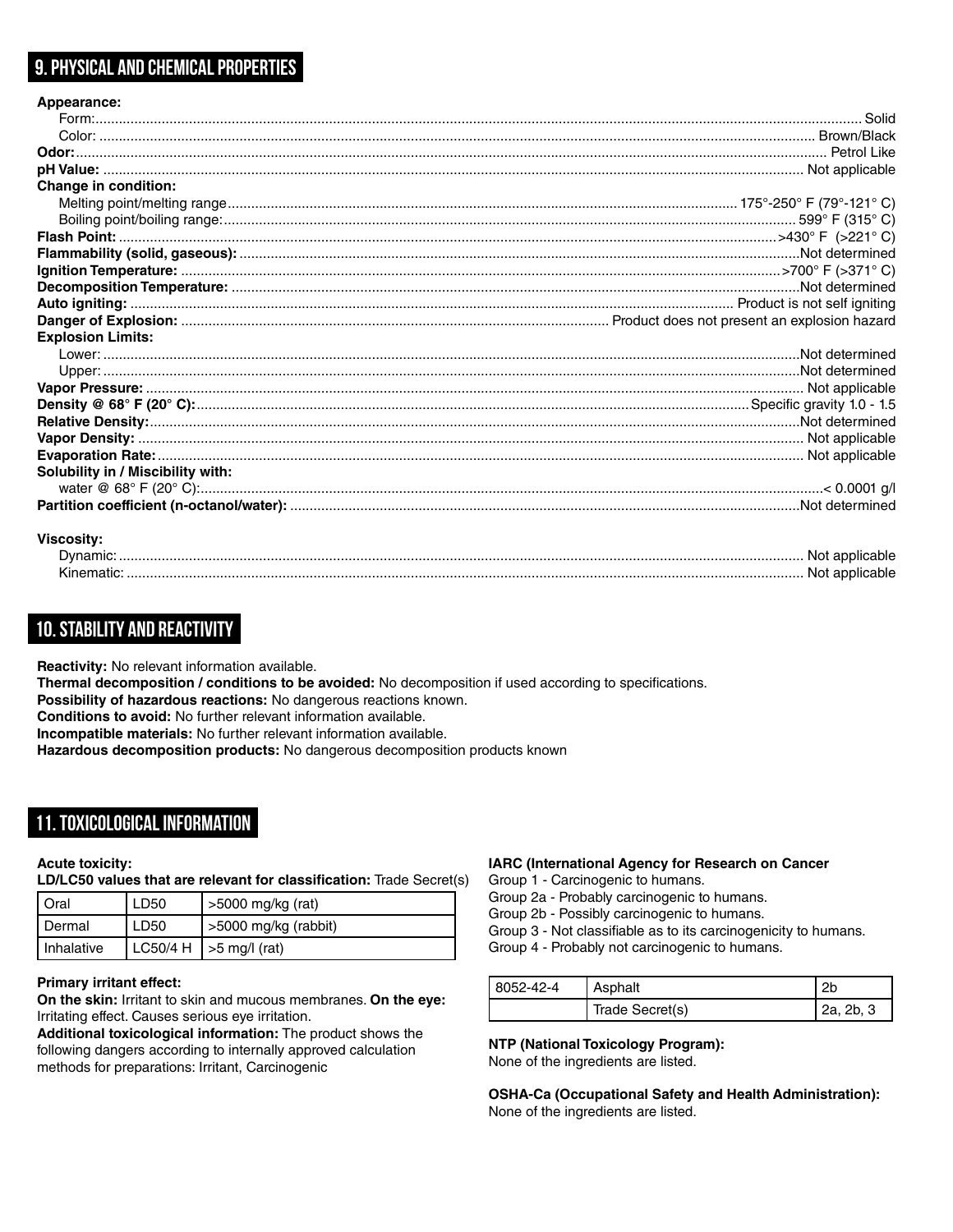# **9. Physical and Chemical Properties**

| Appearance:                       |  |
|-----------------------------------|--|
|                                   |  |
|                                   |  |
|                                   |  |
|                                   |  |
| <b>Change in condition:</b>       |  |
|                                   |  |
|                                   |  |
|                                   |  |
|                                   |  |
|                                   |  |
|                                   |  |
|                                   |  |
|                                   |  |
|                                   |  |
| <b>Explosion Limits:</b>          |  |
|                                   |  |
|                                   |  |
|                                   |  |
|                                   |  |
|                                   |  |
|                                   |  |
|                                   |  |
| Solubility in / Miscibility with: |  |
|                                   |  |

#### **Viscosity:**

| Dvnamic | NOT |
|---------|-----|
| Kinema  | NOT |

## **10. Stability and Reactivity**

**Reactivity:** No relevant information available.

**Thermal decomposition / conditions to be avoided:** No decomposition if used according to specifications.

**Possibility of hazardous reactions:** No dangerous reactions known.

**Conditions to avoid:** No further relevant information available.

**Incompatible materials:** No further relevant information available.

**Hazardous decomposition products:** No dangerous decomposition products known

## **11. Toxicological Information**

#### **Acute toxicity:**

**LD/LC50 values that are relevant for classification:** Trade Secret(s)

| Oral         | LD50 | >5000 mg/kg (rat)           |
|--------------|------|-----------------------------|
| I Dermal     | LD50 | >5000 mg/kg (rabbit)        |
| I Inhalative |      | LC50/4 H   $>$ 5 mg/l (rat) |

#### **Primary irritant effect:**

**On the skin:** Irritant to skin and mucous membranes. **On the eye:** Irritating effect. Causes serious eye irritation.

**Additional toxicological information:** The product shows the following dangers according to internally approved calculation methods for preparations: Irritant, Carcinogenic

#### **IARC (International Agency for Research on Cancer**

Group 1 - Carcinogenic to humans.

Group 2a - Probably carcinogenic to humans.

Group 2b - Possibly carcinogenic to humans.

Group 3 - Not classifiable as to its carcinogenicity to humans.

Group 4 - Probably not carcinogenic to humans.

| 8052-42-4 | Asphalt         | へい<br>ZU  |
|-----------|-----------------|-----------|
|           | Trade Secret(s) | 2a, 2b, 3 |

**NTP (National Toxicology Program):** None of the ingredients are listed.

**OSHA-Ca (Occupational Safety and Health Administration):** None of the ingredients are listed.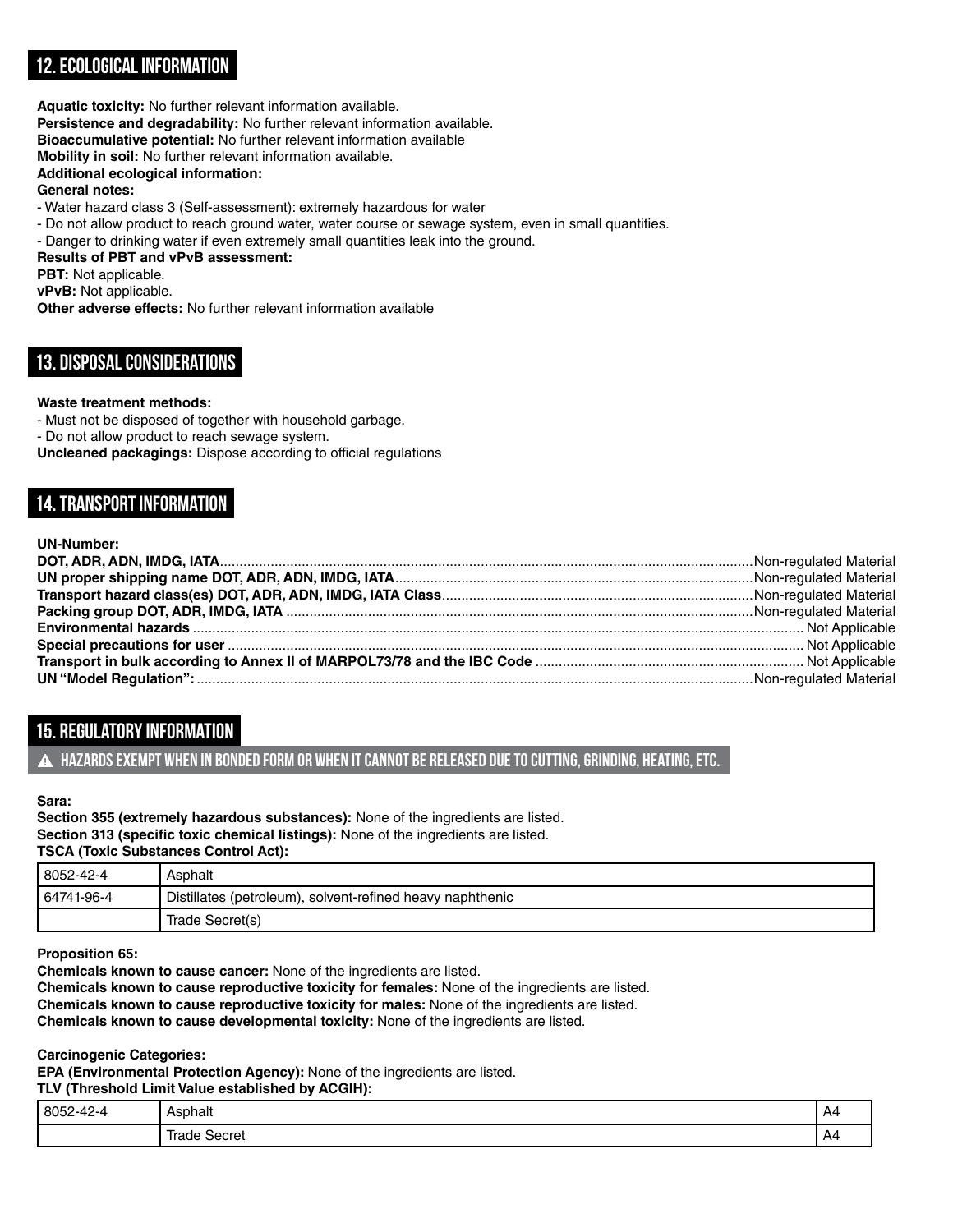# **12. Ecological Information**

**Aquatic toxicity:** No further relevant information available.

**Persistence and degradability:** No further relevant information available.

**Bioaccumulative potential:** No further relevant information available

**Mobility in soil:** No further relevant information available.

**Additional ecological information:**

## **General notes:**

- Water hazard class 3 (Self-assessment): extremely hazardous for water

- Do not allow product to reach ground water, water course or sewage system, even in small quantities.

- Danger to drinking water if even extremely small quantities leak into the ground.

## **Results of PBT and vPvB assessment:**

**PBT:** Not applicable.

**vPvB:** Not applicable.

**Other adverse effects:** No further relevant information available

# **13. Disposal Considerations**

## **Waste treatment methods:**

- Must not be disposed of together with household garbage.

- Do not allow product to reach sewage system.

**Uncleaned packagings:** Dispose according to official regulations

# **14. Transport Information**

| <b>UN-Number:</b> |  |
|-------------------|--|
|                   |  |
|                   |  |
|                   |  |
|                   |  |
|                   |  |
|                   |  |
|                   |  |
|                   |  |

# **15. Regulatory Information**

**Hazards exempt when in bonded form or when it cannot be released due to cutting, grinding, heating, etc.**

## **Sara:**

**Section 355 (extremely hazardous substances):** None of the ingredients are listed. **Section 313 (specific toxic chemical listings):** None of the ingredients are listed. **TSCA (Toxic Substances Control Act):**

| 8052-42-4  | Asphalt                                                   |
|------------|-----------------------------------------------------------|
| 64741-96-4 | Distillates (petroleum), solvent-refined heavy naphthenic |
|            | Trade Secret(s)                                           |

## **Proposition 65:**

**Chemicals known to cause cancer:** None of the ingredients are listed.

**Chemicals known to cause reproductive toxicity for females:** None of the ingredients are listed.

**Chemicals known to cause reproductive toxicity for males:** None of the ingredients are listed.

**Chemicals known to cause developmental toxicity:** None of the ingredients are listed.

#### **Carcinogenic Categories:**

**EPA (Environmental Protection Agency):** None of the ingredients are listed. **TLV (Threshold Limit Value established by ACGIH):**

| 8052-42-4 | Asphalt         | A4 |
|-----------|-----------------|----|
|           | Irade<br>Secret | A4 |